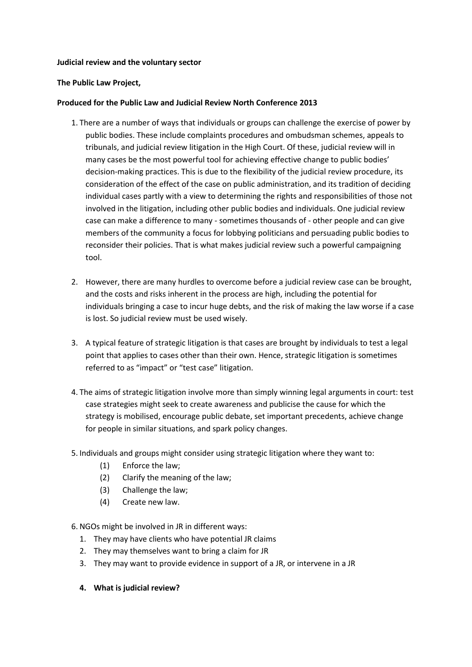#### **Judicial review and the voluntary sector**

### **The Public Law Project,**

### **Produced for the Public Law and Judicial Review North Conference 2013**

- 1. There are a number of ways that individuals or groups can challenge the exercise of power by public bodies. These include complaints procedures and ombudsman schemes, appeals to tribunals, and judicial review litigation in the High Court. Of these, judicial review will in many cases be the most powerful tool for achieving effective change to public bodies' decision-making practices. This is due to the flexibility of the judicial review procedure, its consideration of the effect of the case on public administration, and its tradition of deciding individual cases partly with a view to determining the rights and responsibilities of those not involved in the litigation, including other public bodies and individuals. One judicial review case can make a difference to many - sometimes thousands of - other people and can give members of the community a focus for lobbying politicians and persuading public bodies to reconsider their policies. That is what makes judicial review such a powerful campaigning tool.
- 2. However, there are many hurdles to overcome before a judicial review case can be brought, and the costs and risks inherent in the process are high, including the potential for individuals bringing a case to incur huge debts, and the risk of making the law worse if a case is lost. So judicial review must be used wisely.
- 3. A typical feature of strategic litigation is that cases are brought by individuals to test a legal point that applies to cases other than their own. Hence, strategic litigation is sometimes referred to as "impact" or "test case" litigation.
- 4. The aims of strategic litigation involve more than simply winning legal arguments in court: test case strategies might seek to create awareness and publicise the cause for which the strategy is mobilised, encourage public debate, set important precedents, achieve change for people in similar situations, and spark policy changes.
- 5. Individuals and groups might consider using strategic litigation where they want to:
	- (1) Enforce the law;
	- (2) Clarify the meaning of the law;
	- (3) Challenge the law;
	- (4) Create new law.

6. NGOs might be involved in JR in different ways:

- 1. They may have clients who have potential JR claims
- 2. They may themselves want to bring a claim for JR
- 3. They may want to provide evidence in support of a JR, or intervene in a JR
- **4. What is judicial review?**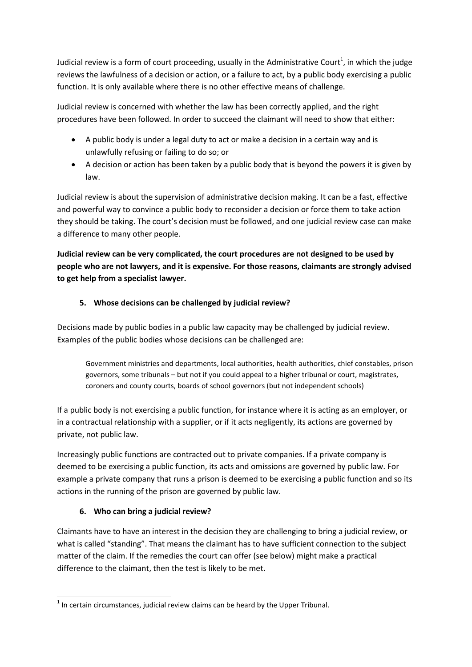Judicial review is a form of court proceeding, usually in the Administrative Court<sup>1</sup>, in which the judge reviews the lawfulness of a decision or action, or a failure to act, by a public body exercising a public function. It is only available where there is no other effective means of challenge.

Judicial review is concerned with whether the law has been correctly applied, and the right procedures have been followed. In order to succeed the claimant will need to show that either:

- A public body is under a legal duty to act or make a decision in a certain way and is unlawfully refusing or failing to do so; or
- A decision or action has been taken by a public body that is beyond the powers it is given by law.

Judicial review is about the supervision of administrative decision making. It can be a fast, effective and powerful way to convince a public body to reconsider a decision or force them to take action they should be taking. The court's decision must be followed, and one judicial review case can make a difference to many other people.

**Judicial review can be very complicated, the court procedures are not designed to be used by people who are not lawyers, and it is expensive. For those reasons, claimants are strongly advised to get help from a specialist lawyer.** 

# **5. Whose decisions can be challenged by judicial review?**

Decisions made by public bodies in a public law capacity may be challenged by judicial review. Examples of the public bodies whose decisions can be challenged are:

Government ministries and departments, local authorities, health authorities, chief constables, prison governors, some tribunals – but not if you could appeal to a higher tribunal or court, magistrates, coroners and county courts, boards of school governors (but not independent schools)

If a public body is not exercising a public function, for instance where it is acting as an employer, or in a contractual relationship with a supplier, or if it acts negligently, its actions are governed by private, not public law.

Increasingly public functions are contracted out to private companies. If a private company is deemed to be exercising a public function, its acts and omissions are governed by public law. For example a private company that runs a prison is deemed to be exercising a public function and so its actions in the running of the prison are governed by public law.

# **6. Who can bring a judicial review?**

Claimants have to have an interest in the decision they are challenging to bring a judicial review, or what is called "standing". That means the claimant has to have sufficient connection to the subject matter of the claim. If the remedies the court can offer (see below) might make a practical difference to the claimant, then the test is likely to be met.

**<sup>.</sup>**  $<sup>1</sup>$  In certain circumstances, judicial review claims can be heard by the Upper Tribunal.</sup>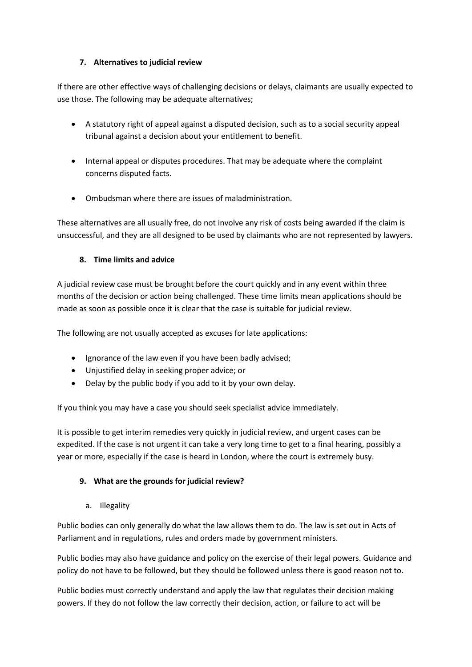## **7. Alternatives to judicial review**

If there are other effective ways of challenging decisions or delays, claimants are usually expected to use those. The following may be adequate alternatives;

- A statutory right of appeal against a disputed decision, such as to a social security appeal tribunal against a decision about your entitlement to benefit.
- Internal appeal or disputes procedures. That may be adequate where the complaint concerns disputed facts.
- Ombudsman where there are issues of maladministration.

These alternatives are all usually free, do not involve any risk of costs being awarded if the claim is unsuccessful, and they are all designed to be used by claimants who are not represented by lawyers.

# **8. Time limits and advice**

A judicial review case must be brought before the court quickly and in any event within three months of the decision or action being challenged. These time limits mean applications should be made as soon as possible once it is clear that the case is suitable for judicial review.

The following are not usually accepted as excuses for late applications:

- Ignorance of the law even if you have been badly advised;
- Unjustified delay in seeking proper advice; or
- Delay by the public body if you add to it by your own delay.

If you think you may have a case you should seek specialist advice immediately.

It is possible to get interim remedies very quickly in judicial review, and urgent cases can be expedited. If the case is not urgent it can take a very long time to get to a final hearing, possibly a year or more, especially if the case is heard in London, where the court is extremely busy.

## **9. What are the grounds for judicial review?**

a. Illegality

Public bodies can only generally do what the law allows them to do. The law is set out in Acts of Parliament and in regulations, rules and orders made by government ministers.

Public bodies may also have guidance and policy on the exercise of their legal powers. Guidance and policy do not have to be followed, but they should be followed unless there is good reason not to.

Public bodies must correctly understand and apply the law that regulates their decision making powers. If they do not follow the law correctly their decision, action, or failure to act will be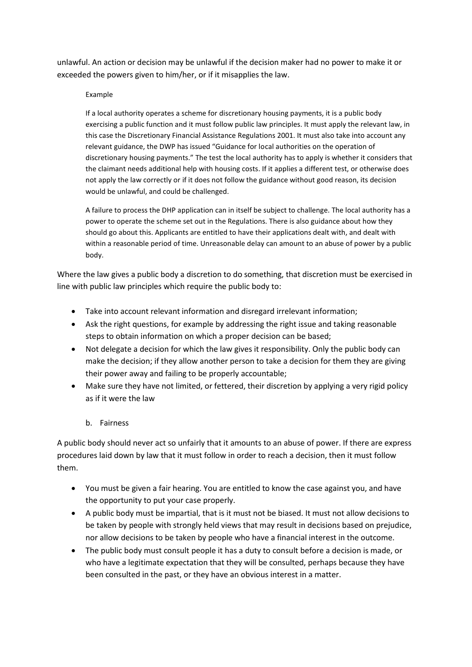unlawful. An action or decision may be unlawful if the decision maker had no power to make it or exceeded the powers given to him/her, or if it misapplies the law.

#### Example

If a local authority operates a scheme for discretionary housing payments, it is a public body exercising a public function and it must follow public law principles. It must apply the relevant law, in this case the Discretionary Financial Assistance Regulations 2001. It must also take into account any relevant guidance, the DWP has issued "Guidance for local authorities on the operation of discretionary housing payments." The test the local authority has to apply is whether it considers that the claimant needs additional help with housing costs. If it applies a different test, or otherwise does not apply the law correctly or if it does not follow the guidance without good reason, its decision would be unlawful, and could be challenged.

A failure to process the DHP application can in itself be subject to challenge. The local authority has a power to operate the scheme set out in the Regulations. There is also guidance about how they should go about this. Applicants are entitled to have their applications dealt with, and dealt with within a reasonable period of time. Unreasonable delay can amount to an abuse of power by a public body.

Where the law gives a public body a discretion to do something, that discretion must be exercised in line with public law principles which require the public body to:

- Take into account relevant information and disregard irrelevant information;
- Ask the right questions, for example by addressing the right issue and taking reasonable steps to obtain information on which a proper decision can be based;
- Not delegate a decision for which the law gives it responsibility. Only the public body can make the decision; if they allow another person to take a decision for them they are giving their power away and failing to be properly accountable;
- Make sure they have not limited, or fettered, their discretion by applying a very rigid policy as if it were the law

## b. Fairness

A public body should never act so unfairly that it amounts to an abuse of power. If there are express procedures laid down by law that it must follow in order to reach a decision, then it must follow them.

- You must be given a fair hearing. You are entitled to know the case against you, and have the opportunity to put your case properly.
- A public body must be impartial, that is it must not be biased. It must not allow decisions to be taken by people with strongly held views that may result in decisions based on prejudice, nor allow decisions to be taken by people who have a financial interest in the outcome.
- The public body must consult people it has a duty to consult before a decision is made, or who have a legitimate expectation that they will be consulted, perhaps because they have been consulted in the past, or they have an obvious interest in a matter.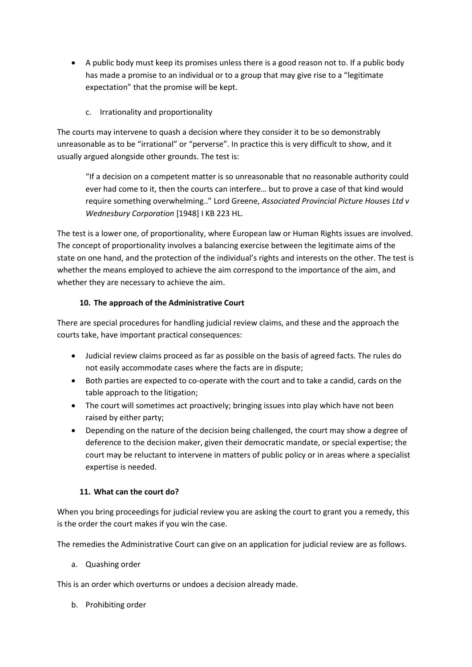- A public body must keep its promises unless there is a good reason not to. If a public body has made a promise to an individual or to a group that may give rise to a "legitimate expectation" that the promise will be kept.
	- c. Irrationality and proportionality

The courts may intervene to quash a decision where they consider it to be so demonstrably unreasonable as to be "irrational" or "perverse". In practice this is very difficult to show, and it usually argued alongside other grounds. The test is:

"If a decision on a competent matter is so unreasonable that no reasonable authority could ever had come to it, then the courts can interfere… but to prove a case of that kind would require something overwhelming.." Lord Greene, *Associated Provincial Picture Houses Ltd v Wednesbury Corporation* [1948] I KB 223 HL.

The test is a lower one, of proportionality, where European law or Human Rights issues are involved. The concept of proportionality involves a balancing exercise between the legitimate aims of the state on one hand, and the protection of the individual's rights and interests on the other. The test is whether the means employed to achieve the aim correspond to the importance of the aim, and whether they are necessary to achieve the aim.

# **10. The approach of the Administrative Court**

There are special procedures for handling judicial review claims, and these and the approach the courts take, have important practical consequences:

- Judicial review claims proceed as far as possible on the basis of agreed facts. The rules do not easily accommodate cases where the facts are in dispute;
- Both parties are expected to co-operate with the court and to take a candid, cards on the table approach to the litigation;
- The court will sometimes act proactively; bringing issues into play which have not been raised by either party;
- Depending on the nature of the decision being challenged, the court may show a degree of deference to the decision maker, given their democratic mandate, or special expertise; the court may be reluctant to intervene in matters of public policy or in areas where a specialist expertise is needed.

## **11. What can the court do?**

When you bring proceedings for judicial review you are asking the court to grant you a remedy, this is the order the court makes if you win the case.

The remedies the Administrative Court can give on an application for judicial review are as follows.

a. Quashing order

This is an order which overturns or undoes a decision already made.

b. Prohibiting order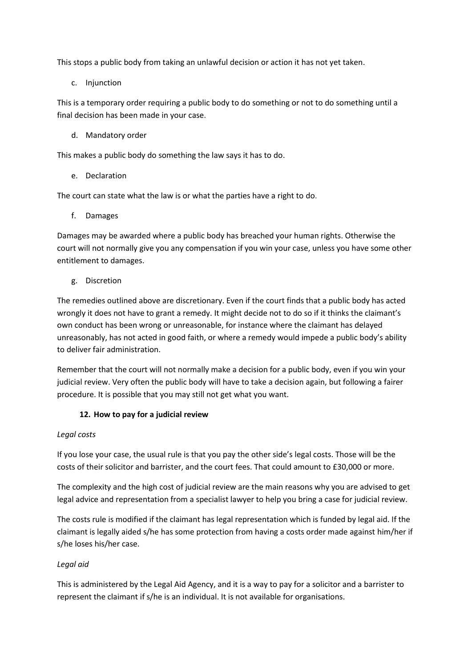This stops a public body from taking an unlawful decision or action it has not yet taken.

c. Injunction

This is a temporary order requiring a public body to do something or not to do something until a final decision has been made in your case.

d. Mandatory order

This makes a public body do something the law says it has to do.

e. Declaration

The court can state what the law is or what the parties have a right to do.

f. Damages

Damages may be awarded where a public body has breached your human rights. Otherwise the court will not normally give you any compensation if you win your case, unless you have some other entitlement to damages.

g. Discretion

The remedies outlined above are discretionary. Even if the court finds that a public body has acted wrongly it does not have to grant a remedy. It might decide not to do so if it thinks the claimant's own conduct has been wrong or unreasonable, for instance where the claimant has delayed unreasonably, has not acted in good faith, or where a remedy would impede a public body's ability to deliver fair administration.

Remember that the court will not normally make a decision for a public body, even if you win your judicial review. Very often the public body will have to take a decision again, but following a fairer procedure. It is possible that you may still not get what you want.

## **12. How to pay for a judicial review**

#### *Legal costs*

If you lose your case, the usual rule is that you pay the other side's legal costs. Those will be the costs of their solicitor and barrister, and the court fees. That could amount to £30,000 or more.

The complexity and the high cost of judicial review are the main reasons why you are advised to get legal advice and representation from a specialist lawyer to help you bring a case for judicial review.

The costs rule is modified if the claimant has legal representation which is funded by legal aid. If the claimant is legally aided s/he has some protection from having a costs order made against him/her if s/he loses his/her case.

## *Legal aid*

This is administered by the Legal Aid Agency, and it is a way to pay for a solicitor and a barrister to represent the claimant if s/he is an individual. It is not available for organisations.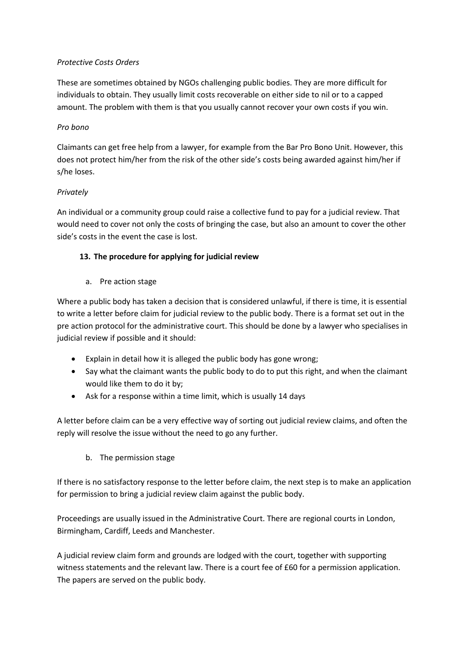## *Protective Costs Orders*

These are sometimes obtained by NGOs challenging public bodies. They are more difficult for individuals to obtain. They usually limit costs recoverable on either side to nil or to a capped amount. The problem with them is that you usually cannot recover your own costs if you win.

# *Pro bono*

Claimants can get free help from a lawyer, for example from the Bar Pro Bono Unit. However, this does not protect him/her from the risk of the other side's costs being awarded against him/her if s/he loses.

# *Privately*

An individual or a community group could raise a collective fund to pay for a judicial review. That would need to cover not only the costs of bringing the case, but also an amount to cover the other side's costs in the event the case is lost.

# **13. The procedure for applying for judicial review**

a. Pre action stage

Where a public body has taken a decision that is considered unlawful, if there is time, it is essential to write a letter before claim for judicial review to the public body. There is a format set out in the pre action protocol for the administrative court. This should be done by a lawyer who specialises in judicial review if possible and it should:

- Explain in detail how it is alleged the public body has gone wrong;
- Say what the claimant wants the public body to do to put this right, and when the claimant would like them to do it by;
- Ask for a response within a time limit, which is usually 14 days

A letter before claim can be a very effective way of sorting out judicial review claims, and often the reply will resolve the issue without the need to go any further.

b. The permission stage

If there is no satisfactory response to the letter before claim, the next step is to make an application for permission to bring a judicial review claim against the public body.

Proceedings are usually issued in the Administrative Court. There are regional courts in London, Birmingham, Cardiff, Leeds and Manchester.

A judicial review claim form and grounds are lodged with the court, together with supporting witness statements and the relevant law. There is a court fee of £60 for a permission application. The papers are served on the public body.